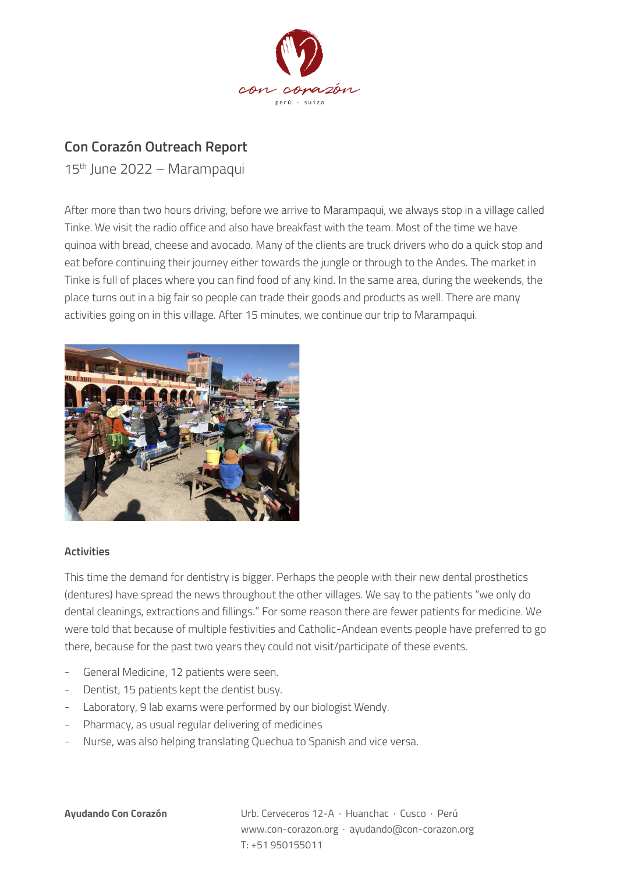

## **Con Corazón Outreach Report**

15th June 2022 – Marampaqui

After more than two hours driving, before we arrive to Marampaqui, we always stop in a village called Tinke. We visit the radio office and also have breakfast with the team. Most of the time we have quinoa with bread, cheese and avocado. Many of the clients are truck drivers who do a quick stop and eat before continuing their journey either towards the jungle or through to the Andes. The market in Tinke is full of places where you can find food of any kind. In the same area, during the weekends, the place turns out in a big fair so people can trade their goods and products as well. There are many activities going on in this village. After 15 minutes, we continue our trip to Marampaqui.



## **Activities**

This time the demand for dentistry is bigger. Perhaps the people with their new dental prosthetics (dentures) have spread the news throughout the other villages. We say to the patients "we only do dental cleanings, extractions and fillings." For some reason there are fewer patients for medicine. We were told that because of multiple festivities and Catholic-Andean events people have preferred to go there, because for the past two years they could not visit/participate of these events.

- General Medicine, 12 patients were seen.
- Dentist, 15 patients kept the dentist busy.
- Laboratory, 9 lab exams were performed by our biologist Wendy.
- Pharmacy, as usual regular delivering of medicines
- Nurse, was also helping translating Quechua to Spanish and vice versa.

**Ayudando Con Corazón** Urb. Cerveceros 12-A · Huanchac · Cusco · Perú www.con-corazon.org · ayudando@con-corazon.org T: +51 950155011